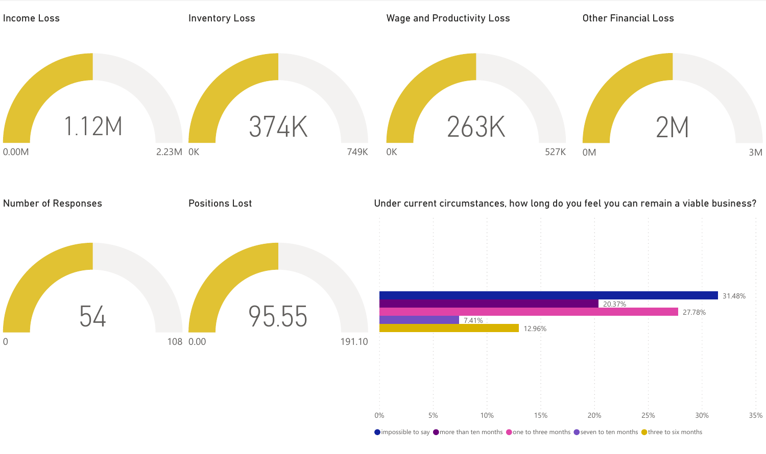